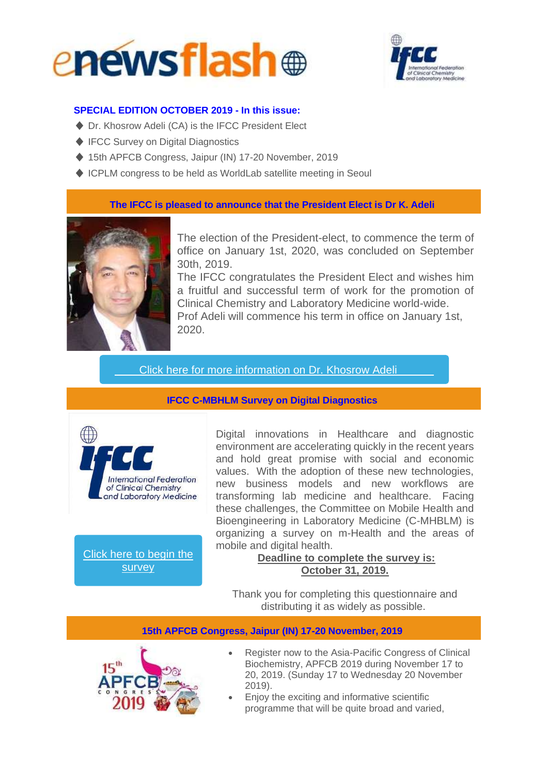



### **SPECIAL EDITION OCTOBER 2019 - In this issue:**

- ♦ Dr. Khosrow Adeli (CA) is the IFCC President Elect
- ♦ IFCC Survey on Digital Diagnostics
- ◆ 15th APFCB Congress, Jaipur (IN) 17-20 November, 2019
- ♦ ICPLM congress to be held as WorldLab satellite meeting in Seoul

**The IFCC is pleased to announce that the President Elect is Dr K. Adeli**



The election of the President-elect, to commence the term of office on January 1st, 2020, was concluded on September 30th, 2019.

The IFCC congratulates the President Elect and wishes him a fruitful and successful term of work for the promotion of Clinical Chemistry and Laboratory Medicine world-wide. Prof Adeli will commence his term in office on January 1st, 2020.

Click here for more [information](http://ifcc.musvc1.net/e/t?q=9%3dGYBfJ%26C%3d5%26J%3dAR8b%26y%3dR7%26Q%3drKxL3_IUyZ_Te_NatT_Xp_IUyZ_SjS7N.mBm4.sNq_IUyZ_SjA86gQ40zA-lFeNn-2r0-mFyJm0p_NatT_Xp62AmLxE7k2e66-fKkIh_NatT_XpGvKp-BlK3IsS-k5iHs-0j9m-GvA30hAxK-iHo4x_NatT_Xp%265%3dqQ3MgW.x6x%26E3%3dSDcG) on Dr. Khosrow Adeli

**IFCC C-MBHLM Survey on Digital Diagnostics**



Click here to [begin](http://ifcc.musvc1.net/e/t?q=A%3dKa8hN%26E%3d1%26L%3dET4d%263%3dT3%26S%3dvMtN7_KQ1d_Va_PevP_Zt_KQ1d_UfUAP.sS6OeW1HnIsR.cM1_KQ1d_UfP_6tSx_F9VvheLgm%267%3dmS7OcY.28t%26G7%3dU9o4a0eK) the [survey](http://ifcc.musvc1.net/e/t?q=9%3dMZHfP%26D%3dA%26J%3dGSDb%265%3dSC%26Q%3dxL4L9_Jayf_Uk_NguZ_Xv_Jayf_TpSCO.3Q8NoU3GxGuQ.mK3_Jayf_TpN_8scv_H8ftjdVeo%266%3dwQ9NmW.474%26E9%3dT7q3kJcM)

Digital innovations in Healthcare and diagnostic environment are accelerating quickly in the recent years and hold great promise with social and economic values. With the adoption of these new technologies, new business models and new workflows are transforming lab medicine and healthcare. Facing these challenges, the Committee on Mobile Health and Bioengineering in Laboratory Medicine (C-MHBLM) is organizing a survey on m-Health and the areas of mobile and digital health.

# **Deadline to complete the survey is: October 31, 2019.**

Thank you for completing this questionnaire and distributing it as widely as possible.

**15th APFCB Congress, Jaipur (IN) 17-20 November, 2019**



- Register now to the Asia-Pacific Congress of Clinical Biochemistry, APFCB 2019 during November 17 to 20, 2019. (Sunday 17 to Wednesday 20 November 2019).
- Enjoy the exciting and informative scientific programme that will be quite broad and varied,